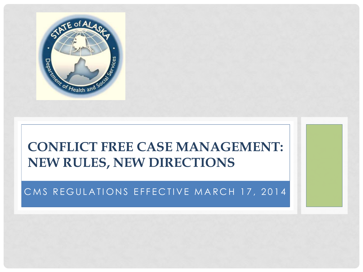

#### **CONFLICT FREE CASE MANAGEMENT: NEW RULES, NEW DIRECTIONS**

#### CMS REGULATIONS EFFECTIVE MARCH 17, 2014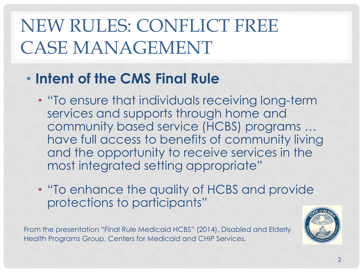## NEW RULES: CONFLICT FREE CASE MANAGEMENT

#### • **Intent of the CMS Final Rule**

- "To ensure that individuals receiving long-term services and supports through home and community based service (HCBS) programs … have full access to benefits of community living and the opportunity to receive services in the most integrated setting appropriate"
- "To enhance the quality of HCBS and provide protections to participants"

From the presentation "Final Rule Medicaid HCBS" (2014). Disabled and Elderly Health Programs Group, Centers for Medicaid and CHIP Services.

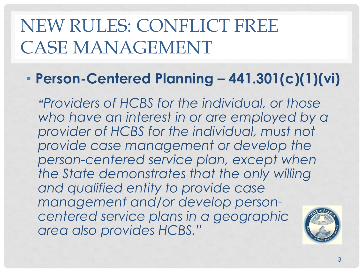## NEW RULES: CONFLICT FREE CASE MANAGEMENT

#### • **Person-Centered Planning – 441.301(c)(1)(vi)**

*"Providers of HCBS for the individual, or those who have an interest in or are employed by a provider of HCBS for the individual, must not provide case management or develop the person-centered service plan, except when the State demonstrates that the only willing and qualified entity to provide case management and/or develop personcentered service plans in a geographic area also provides HCBS."*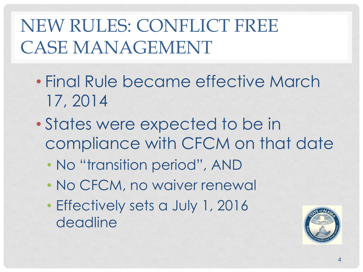## NEW RULES: CONFLICT FREE CASE MANAGEMENT

- Final Rule became effective March 17, 2014
- States were expected to be in compliance with CFCM on that date
	- No "transition period", AND
	- No CFCM, no waiver renewal
	- Effectively sets a July 1, 2016 deadline

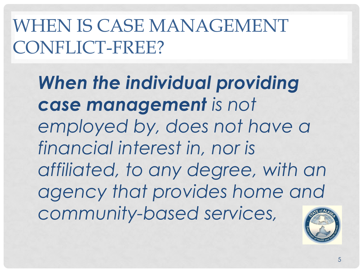## WHEN IS CASE MANAGEMENT CONFLICT-FREE?

*When the individual providing case management is not employed by, does not have a financial interest in, nor is affiliated, to any degree, with an agency that provides home and community-based services,*

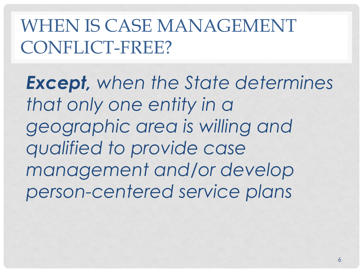WHEN IS CASE MANAGEMENT CONFLICT-FREE?

*Except, when the State determines that only one entity in a geographic area is willing and qualified to provide case management and/or develop person-centered service plans*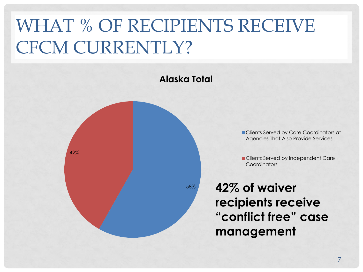## WHAT % OF RECIPIENTS RECEIVE CFCM CURRENTLY?

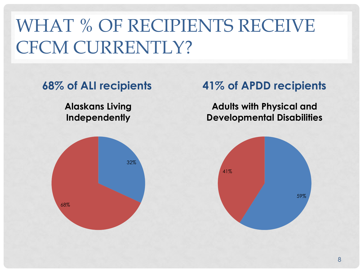## WHAT % OF RECIPIENTS RECEIVE CFCM CURRENTLY?

**Alaskans Living Independently**



#### **68% of ALI recipients 41% of APDD recipients**

**Adults with Physical and Developmental Disabilities**

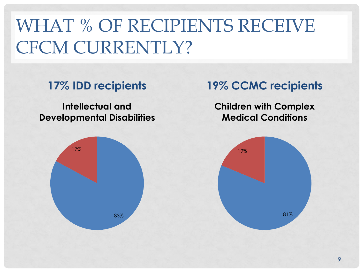## WHAT % OF RECIPIENTS RECEIVE CFCM CURRENTLY?

**Intellectual and Developmental Disabilities**



#### **17% IDD recipients 19% CCMC recipients**

**Children with Complex Medical Conditions**

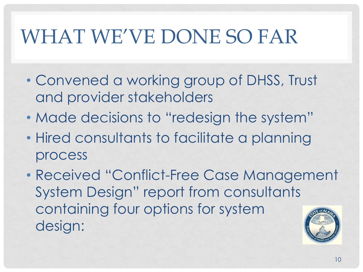# WHAT WE'VE DONE SO FAR

- Convened a working group of DHSS, Trust and provider stakeholders
- Made decisions to "redesign the system"
- Hired consultants to facilitate a planning process
- Received "Conflict-Free Case Management System Design" report from consultants containing four options for system design: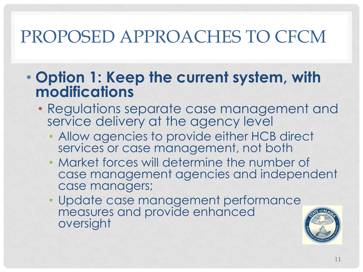#### • **Option 1: Keep the current system, with modifications**

- Regulations separate case management and service delivery at the agency level
	- Allow agencies to provide either HCB direct services or case management, not both
	- Market forces will determine the number of case management agencies and independent case managers;
	- Update case management performance measures and provide enhanced oversight

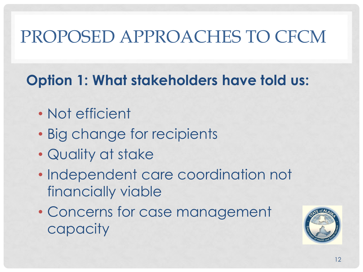#### **Option 1: What stakeholders have told us:**

- Not efficient
- Big change for recipients
- Quality at stake
- Independent care coordination not financially viable
- Concerns for case management capacity

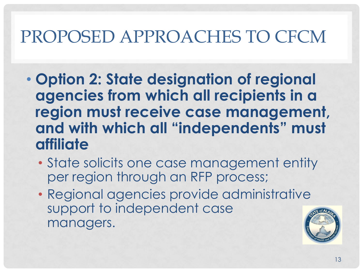- **Option 2: State designation of regional agencies from which all recipients in a region must receive case management, and with which all "independents" must affiliate**
	- State solicits one case management entity per region through an RFP process;
	- Regional agencies provide administrative support to independent case managers.

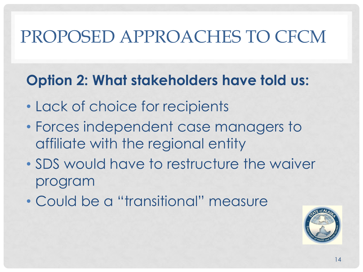#### **Option 2: What stakeholders have told us:**

- Lack of choice for recipients
- Forces independent case managers to affiliate with the regional entity
- SDS would have to restructure the waiver program
- Could be a "transitional" measure

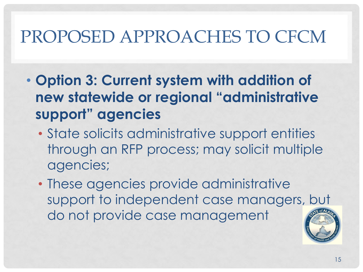- **Option 3: Current system with addition of new statewide or regional "administrative support" agencies**
	- State solicits administrative support entities through an RFP process; may solicit multiple agencies;
	- These agencies provide administrative support to independent case managers, but do not provide case management

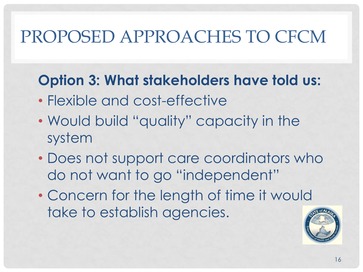#### **Option 3: What stakeholders have told us:**

- Flexible and cost-effective
- Would build "quality" capacity in the system
- Does not support care coordinators who do not want to go "independent"
- Concern for the length of time it would take to establish agencies.

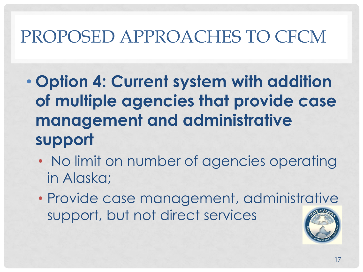- **Option 4: Current system with addition of multiple agencies that provide case management and administrative support**
	- No limit on number of agencies operating in Alaska;
	- Provide case management, administrative support, but not direct services

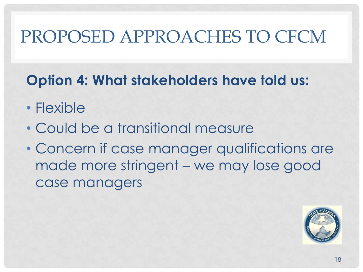#### **Option 4: What stakeholders have told us:**

- Flexible
- Could be a transitional measure
- Concern if case manager qualifications are made more stringent – we may lose good case managers

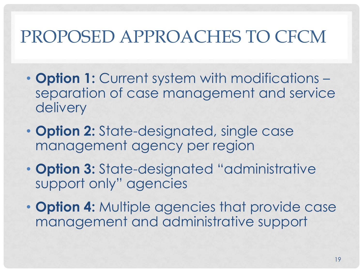- **Option 1:** Current system with modifications separation of case management and service delivery
- **Option 2:** State-designated, single case management agency per region
- **Option 3:** State-designated "administrative support only" agencies
- **Option 4:** Multiple agencies that provide case management and administrative support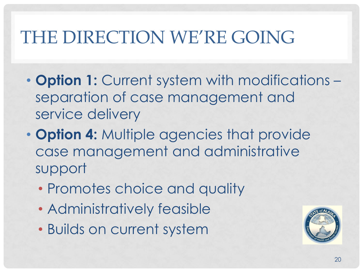## THE DIRECTION WE'RE GOING

- **Option 1:** Current system with modifications separation of case management and service delivery
- **Option 4:** Multiple agencies that provide case management and administrative support
	- Promotes choice and quality
	- Administratively feasible
	- Builds on current system

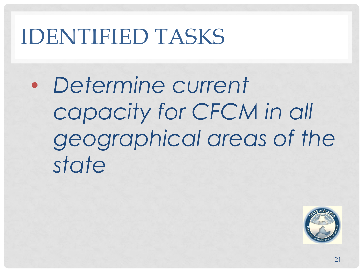• *Determine current capacity for CFCM in all geographical areas of the state*

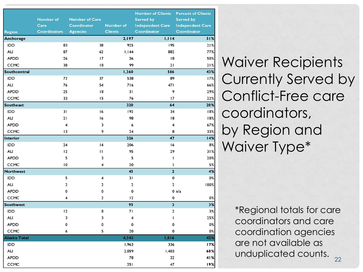|                  | <b>Number of</b><br>Care | <b>Number of Care</b><br>Coordinator | Number of               | <b>Number of Clients</b><br><b>Served by</b><br><b>Independent Care</b> | <b>Percent of Clients</b><br>Served by<br><b>Independent Care</b> |
|------------------|--------------------------|--------------------------------------|-------------------------|-------------------------------------------------------------------------|-------------------------------------------------------------------|
| <b>Region</b>    | <b>Coordinators</b>      | <b>Agencies</b>                      | <b>Clients</b>          | Coordinator                                                             | Coordinator                                                       |
| Anchorage        |                          |                                      | 2,197                   | 1,114                                                                   | 51%                                                               |
| IDD              | 83                       | 38                                   | 925                     | 195                                                                     | 21%                                                               |
| ALI              | 87                       | 62                                   | 1,144                   | 882                                                                     | 77%                                                               |
| <b>APDD</b>      | 26                       | 17                                   | 36                      | 18                                                                      | 50%                                                               |
| <b>CCMC</b>      | 38                       | 18                                   | 99                      | 21                                                                      | 21%                                                               |
| Southcentral     |                          |                                      | 1,360                   | 586                                                                     | 43%                                                               |
| IDD              | 72                       | 37                                   | 538                     | 89                                                                      | 17%                                                               |
| <b>ALI</b>       | 76                       | 54                                   | 716                     | 471                                                                     | 66%                                                               |
| <b>APDD</b>      | 25                       | 18                                   | 31                      | 9                                                                       | 29%                                                               |
| <b>CCMC</b>      | 33                       | 15                                   | 76                      | 17                                                                      | 22%                                                               |
| Southeast        |                          |                                      | 320                     | 64                                                                      | 20%                                                               |
| IDD              | 31                       | 16                                   | 192                     | 34                                                                      | 18%                                                               |
| ALI              | 21                       | 16                                   | 98                      | 18                                                                      | 18%                                                               |
| <b>APDD</b>      | $\overline{\mathbf{4}}$  | 3                                    | 6                       | $\overline{\mathbf{4}}$                                                 | 67%                                                               |
| CCMC             | 13                       | 9                                    | 24                      | 8                                                                       | 33%                                                               |
| Interior         |                          |                                      | 326                     | 47                                                                      | 14%                                                               |
| IDD              | 24                       | 4                                    | 206                     | 16                                                                      | 8%                                                                |
| ALI              | 12                       | $\mathbf{H}$                         | 95                      | 29                                                                      | 31%                                                               |
| <b>APDD</b>      | 5                        | 3                                    | 5                       | I                                                                       | 20%                                                               |
| CCMC             | 10                       | 4                                    | 20                      | $\mathbf{I}$                                                            | 5%                                                                |
| <b>Northwest</b> |                          |                                      | 45                      | $\overline{\mathbf{c}}$                                                 | 4%                                                                |
| IDD              | 5                        | $\overline{4}$                       | 31                      | 0                                                                       | 0%                                                                |
| ALI              | $\mathbf{2}$             | $\overline{2}$                       | $\overline{\mathbf{c}}$ | $\overline{\mathbf{c}}$                                                 | 100%                                                              |
| <b>APDD</b>      | 0                        | $\mathbf o$                          | 0                       |                                                                         | $0 \frac{n}{a}$                                                   |
| CCMC             | 4                        | $\overline{2}$                       | 12                      | 0                                                                       | 0%                                                                |
| <b>Southwest</b> |                          |                                      | 95                      | $\overline{\mathbf{3}}$                                                 | 3%                                                                |
| <b>IDD</b>       | 12                       | 8                                    | 71                      | $\overline{2}$                                                          | 3%                                                                |
| ALI              | 3                        | 3                                    | $\overline{\mathbf{4}}$ | L                                                                       | 25%                                                               |
| <b>APDD</b>      | 0                        | $\mathbf o$                          | 0                       | o                                                                       | 0%                                                                |
| CCMC             | 6                        | 5                                    | 20                      | 0                                                                       | 0%                                                                |
| Alaska Total     |                          |                                      | 4,343                   | 1,816                                                                   | 42%                                                               |
| <b>IDD</b>       |                          |                                      | 1,963                   | 336                                                                     | 17%                                                               |
| ALI              |                          |                                      | 2,059                   | 1,403                                                                   | 68%                                                               |
| <b>APDD</b>      |                          |                                      | 78                      | 32                                                                      | 41%                                                               |
| CCMC             |                          |                                      | 251                     | 47                                                                      | 19%                                                               |

Waiver Recipients Currently Served by Conflict-Free care coordinators, by Region and Waiver Type\*

> $22$ \*Regional totals for care coordinators and care coordination agencies are not available as unduplicated counts.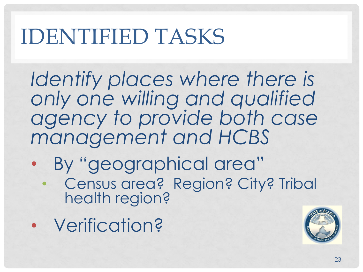*Identify places where there is only one willing and qualified agency to provide both case management and HCBS*

- By "geographical area"
	- Census area? Region? City? Tribal health region?
- Verification?

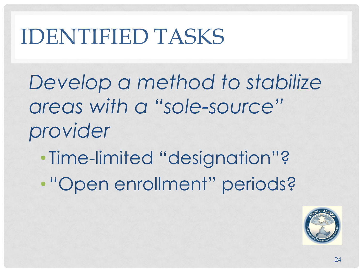*Develop a method to stabilize areas with a "sole-source" provider*

- Time-limited "designation"?
- "Open enrollment" periods?

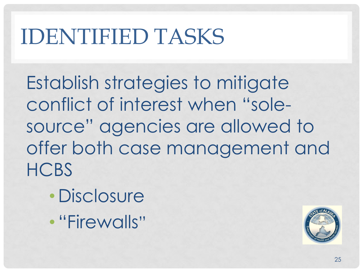Establish strategies to mitigate conflict of interest when "solesource" agencies are allowed to offer both case management and **HCBS** 

- Disclosure
- "Firewalls"

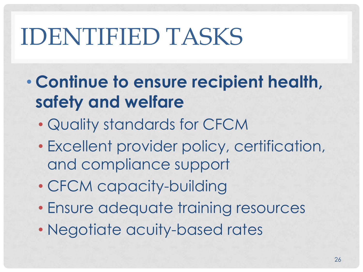- **Continue to ensure recipient health, safety and welfare** 
	- Quality standards for CFCM
	- Excellent provider policy, certification, and compliance support
	- CFCM capacity-building
	- Ensure adequate training resources
	- Negotiate acuity-based rates